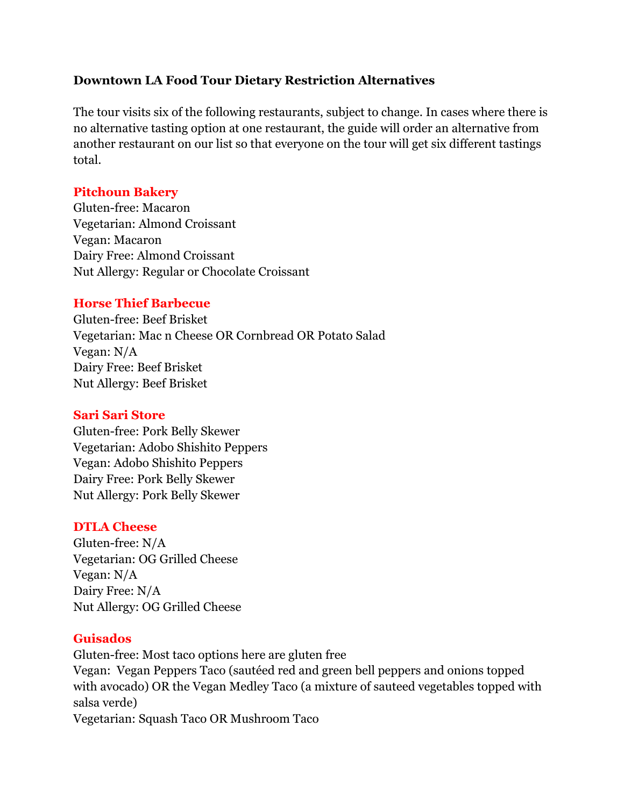# **Downtown LA Food Tour Dietary Restriction Alternatives**

The tour visits six of the following restaurants, subject to change. In cases where there is no alternative tasting option at one restaurant, the guide will order an alternative from another restaurant on our list so that everyone on the tour will get six different tastings total.

### **Pitchoun Bakery**

Gluten-free: Macaron Vegetarian: Almond Croissant Vegan: Macaron Dairy Free: Almond Croissant Nut Allergy: Regular or Chocolate Croissant

#### **Horse Thief Barbecue**

Gluten-free: Beef Brisket Vegetarian: Mac n Cheese OR Cornbread OR Potato Salad Vegan: N/A Dairy Free: Beef Brisket Nut Allergy: Beef Brisket

#### **Sari Sari Store**

Gluten-free: Pork Belly Skewer Vegetarian: Adobo Shishito Peppers Vegan: Adobo Shishito Peppers Dairy Free: Pork Belly Skewer Nut Allergy: Pork Belly Skewer

#### **DTLA Cheese**

Gluten-free: N/A Vegetarian: OG Grilled Cheese Vegan: N/A Dairy Free: N/A Nut Allergy: OG Grilled Cheese

#### **Guisados**

Gluten-free: Most taco options here are gluten free Vegan: Vegan Peppers Taco (sautéed red and green bell peppers and onions topped with avocado) OR the Vegan Medley Taco (a mixture of sauteed vegetables topped with salsa verde) Vegetarian: Squash Taco OR Mushroom Taco